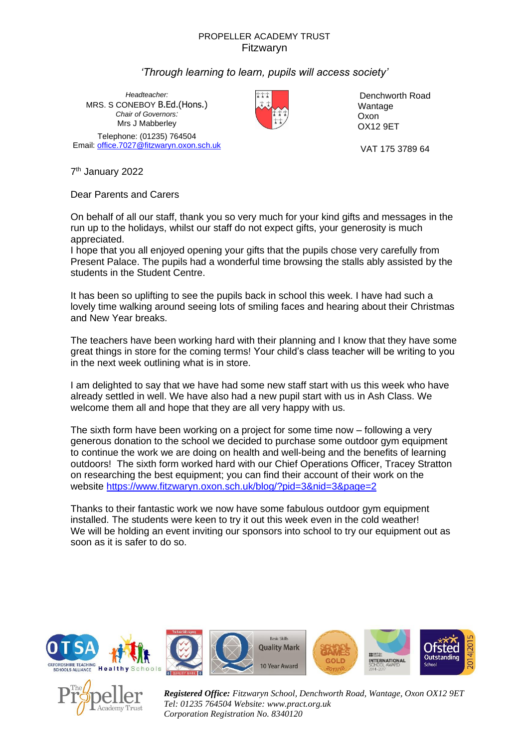## PROPELLER ACADEMY TRUST Fitzwaryn

## *'Through learning to learn, pupils will access society'*

*Headteacher:* MRS. S CONEBOY B.Ed.(Hons.) *Chair of Governors:* Mrs J Mabberley Telephone: (01235) 764504 Email[: office.7027@fitzwaryn.oxon.sch.uk](mailto:office.7027@fitzwaryn.oxon.sch.uk) VAT 175 3789 64



Denchworth Road Wantage Oxon OX12 9ET

7<sup>th</sup> January 2022

Dear Parents and Carers

On behalf of all our staff, thank you so very much for your kind gifts and messages in the run up to the holidays, whilst our staff do not expect gifts, your generosity is much appreciated.

I hope that you all enjoyed opening your gifts that the pupils chose very carefully from Present Palace. The pupils had a wonderful time browsing the stalls ably assisted by the students in the Student Centre.

It has been so uplifting to see the pupils back in school this week. I have had such a lovely time walking around seeing lots of smiling faces and hearing about their Christmas and New Year breaks.

The teachers have been working hard with their planning and I know that they have some great things in store for the coming terms! Your child's class teacher will be writing to you in the next week outlining what is in store.

I am delighted to say that we have had some new staff start with us this week who have already settled in well. We have also had a new pupil start with us in Ash Class. We welcome them all and hope that they are all very happy with us.

The sixth form have been working on a project for some time now – following a very generous donation to the school we decided to purchase some outdoor gym equipment to continue the work we are doing on health and well-being and the benefits of learning outdoors! The sixth form worked hard with our Chief Operations Officer, Tracey Stratton on researching the best equipment; you can find their account of their work on the website <https://www.fitzwaryn.oxon.sch.uk/blog/?pid=3&nid=3&page=2>

Thanks to their fantastic work we now have some fabulous outdoor gym equipment installed. The students were keen to try it out this week even in the cold weather! We will be holding an event inviting our sponsors into school to try our equipment out as soon as it is safer to do so.





*Registered Office: Fitzwaryn School, Denchworth Road, Wantage, Oxon OX12 9ET Tel: 01235 764504 Website: www.pract.org.uk Corporation Registration No. 8340120*